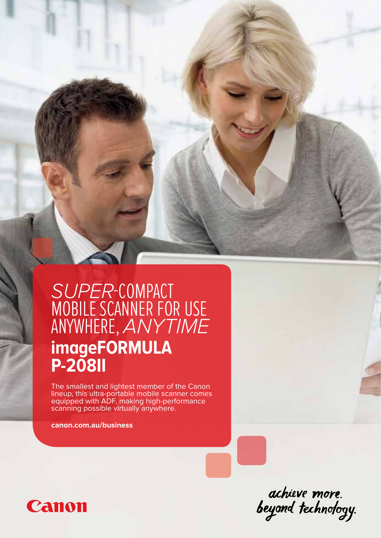## *SUPER*-COMPACT MOBILE SCANNER FOR USE ANYWHERE, *ANYTIME* **imageFORMULA P-208II**

The smallest and lightest member of the Canon lineup, this ultra-portable mobile scanner comes equipped with ADF, making high-performance scanning possible virtually anywhere.

**canon.com.au/business**



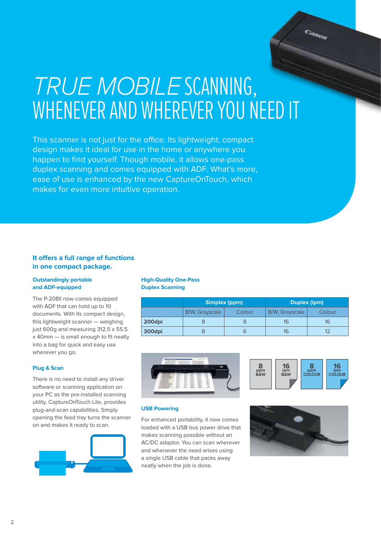# *TRUE MOBILE* SCANNING, WHENEVER AND WHEREVER YOU NEED IT

This scanner is not just for the office. Its lightweight, compact design makes it ideal for use in the home or anywhere you happen to find yourself. Though mobile, it allows one-pass duplex scanning and comes equipped with ADF. What's more, ease of use is enhanced by the new CaptureOnTouch, which makes for even more intuitive operation.

### **It offers a full range of functions in one compact package.**

#### **Outstandingly portable and ADF-equipped**

The P-208ll now comes equipped with ADF that can hold up to 10 documents. With its compact design, this lightweight scanner — weighing just 600g and measuring 312.5 x 55.5 x 40mm — is small enough to fit neatly into a bag for quick and easy use wherever you go.

#### **Plug & Scan**

There is no need to install any driver software or scanning application on your PC as the pre-installed scanning utility, CaptureOnTouch Lite, provides plug-and-scan capabilities. Simply opening the feed tray turns the scanner on and makes it ready to scan.



#### **High-Quality One-Pass Duplex Scanning**

|        | Simplex (ppm)         |        | Duplex (ipm)          |        |
|--------|-----------------------|--------|-----------------------|--------|
|        | <b>B/W, Grayscale</b> | Colour | <b>B/W, Grayscale</b> | Colour |
| 200dpi |                       |        | 16                    | 16     |
| 300dpi |                       |        | 16                    |        |





Canon

#### **USB Powering**

For enhanced portability, it now comes loaded with a USB bus power drive that makes scanning possible without an AC/DC adaptor. You can scan wherever and whenever the need arises using a single USB cable that packs away neatly when the job is done.

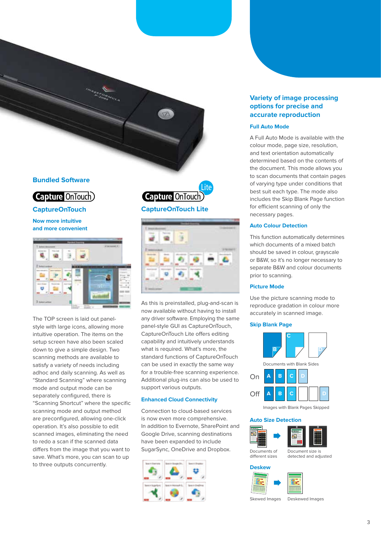### **Bundled Software**



### **CaptureOnTouch**

**Now more intuitive and more convenient**



The TOP screen is laid out panelstyle with large icons, allowing more intuitive operation. The items on the setup screen have also been scaled down to give a simple design. Two scanning methods are available to satisfy a variety of needs including adhoc and daily scanning. As well as "Standard Scanning" where scanning mode and output mode can be separately configured, there is "Scanning Shortcut" where the specific scanning mode and output method are preconfigured, allowing one-click operation. It's also possible to edit scanned images, eliminating the need to redo a scan if the scanned data differs from the image that you want to save. What's more, you can scan to up to three outputs concurrently.





As this is preinstalled, plug-and-scan is now available without having to install any driver software. Employing the same panel-style GUI as CaptureOnTouch, CaptureOnTouch Lite offers editing capability and intuitively understands what is required. What's more, the standard functions of CaptureOnTouch can be used in exactly the same way for a trouble-free scanning experience. Additional plug-ins can also be used to support various outputs.

#### **Enhanced Cloud Connectivity**

Connection to cloud-based services is now even more comprehensive. In addition to Evernote, SharePoint and Google Drive, scanning destinations have been expanded to include SugarSync, OneDrive and Dropbox.



#### **Variety of image processing options for precise and accurate reproduction**

#### **Full Auto Mode**

A Full Auto Mode is available with the colour mode, page size, resolution, and text orientation automatically determined based on the contents of the document. This mode allows you to scan documents that contain pages of varying type under conditions that best suit each type. The mode also includes the Skip Blank Page function for efficient scanning of only the necessary pages.

#### **Auto Colour Detection**

This function automatically determines which documents of a mixed batch should be saved in colour, grayscale or B&W, so it's no longer necessary to separate B&W and colour documents prior to scanning.

#### **Picture Mode**

Use the picture scanning mode to reproduce gradation in colour more accurately in scanned image.

#### **Skip Blank Page**



#### **Auto Size Detection**



**Deskew**



Skewed Images Deskewed Images